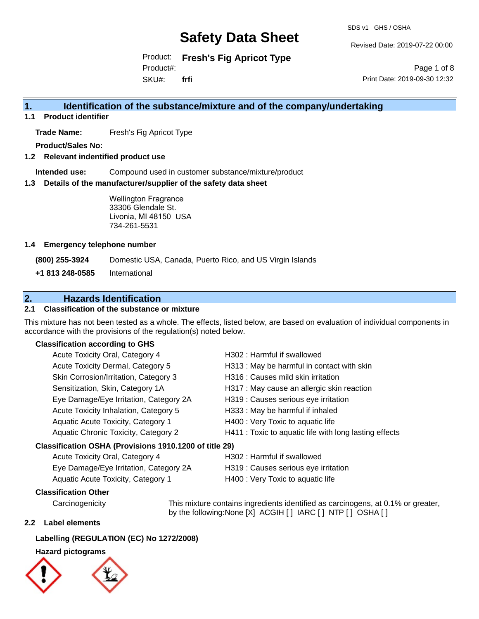SDS v1 GHS / OSHA

Revised Date: 2019-07-22 00:00

Product: **Fresh's Fig Apricot Type** Product#:

SKU#: **frfi**

Page 1 of 8 Print Date: 2019-09-30 12:32

### **1. Identification of the substance/mixture and of the company/undertaking**

**1.1 Product identifier**

**Trade Name:** Fresh's Fig Apricot Type

**Product/Sales No:**

**1.2 Relevant indentified product use**

**Intended use:** Compound used in customer substance/mixture/product

**1.3 Details of the manufacturer/supplier of the safety data sheet**

Wellington Fragrance 33306 Glendale St. Livonia, MI 48150 USA 734-261-5531

#### **1.4 Emergency telephone number**

**(800) 255-3924** Domestic USA, Canada, Puerto Rico, and US Virgin Islands

**+1 813 248-0585** International

### **2. Hazards Identification**

#### **2.1 Classification of the substance or mixture**

This mixture has not been tested as a whole. The effects, listed below, are based on evaluation of individual components in accordance with the provisions of the regulation(s) noted below.

#### **Classification according to GHS**

|                                                        | Acute Toxicity Oral, Category 4        | H302: Harmful if swallowed                             |  |
|--------------------------------------------------------|----------------------------------------|--------------------------------------------------------|--|
|                                                        | Acute Toxicity Dermal, Category 5      | H313 : May be harmful in contact with skin             |  |
|                                                        | Skin Corrosion/Irritation, Category 3  | H316 : Causes mild skin irritation                     |  |
|                                                        | Sensitization, Skin, Category 1A       | H317 : May cause an allergic skin reaction             |  |
|                                                        | Eye Damage/Eye Irritation, Category 2A | H319 : Causes serious eye irritation                   |  |
|                                                        | Acute Toxicity Inhalation, Category 5  | H333: May be harmful if inhaled                        |  |
|                                                        | Aquatic Acute Toxicity, Category 1     | H400 : Very Toxic to aquatic life                      |  |
|                                                        | Aquatic Chronic Toxicity, Category 2   | H411 : Toxic to aquatic life with long lasting effects |  |
| Classification OSHA (Provisions 1910.1200 of title 29) |                                        |                                                        |  |
|                                                        | Acute Toxicity Oral, Category 4        | H302: Harmful if swallowed                             |  |

| Eye Damage/Eye Irritation, Category 2A | H319 : Causes serious eye irritation |
|----------------------------------------|--------------------------------------|
| Aquatic Acute Toxicity, Category 1     | H400 : Very Toxic to aquatic life    |

#### **Classification Other**

Carcinogenicity This mixture contains ingredients identified as carcinogens, at 0.1% or greater, by the following:None [X] ACGIH [ ] IARC [ ] NTP [ ] OSHA [ ]

#### **2.2 Label elements**

#### **Labelling (REGULATION (EC) No 1272/2008)**

#### **Hazard pictograms**



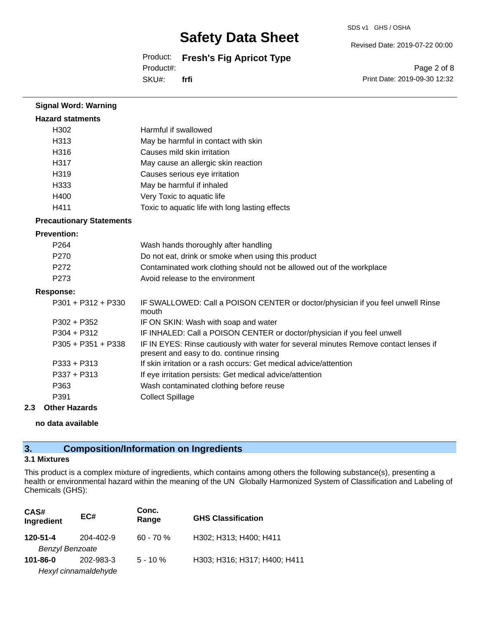SDS v1 GHS / OSHA

Revised Date: 2019-07-22 00:00

Product: **Fresh's Fig Apricot Type**

Product#:

SKU#: **frfi**

Page 2 of 8 Print Date: 2019-09-30 12:32

| <b>Signal Word: Warning</b>     |                                                                                                                                  |
|---------------------------------|----------------------------------------------------------------------------------------------------------------------------------|
| <b>Hazard statments</b>         |                                                                                                                                  |
| H302                            | Harmful if swallowed                                                                                                             |
| H313                            | May be harmful in contact with skin                                                                                              |
| H316                            | Causes mild skin irritation                                                                                                      |
| H317                            | May cause an allergic skin reaction                                                                                              |
| H319                            | Causes serious eye irritation                                                                                                    |
| H333                            | May be harmful if inhaled                                                                                                        |
| H400                            | Very Toxic to aquatic life                                                                                                       |
| H411                            | Toxic to aquatic life with long lasting effects                                                                                  |
| <b>Precautionary Statements</b> |                                                                                                                                  |
| <b>Prevention:</b>              |                                                                                                                                  |
| P <sub>264</sub>                | Wash hands thoroughly after handling                                                                                             |
| P <sub>270</sub>                | Do not eat, drink or smoke when using this product                                                                               |
| P272                            | Contaminated work clothing should not be allowed out of the workplace                                                            |
| P273                            | Avoid release to the environment                                                                                                 |
| <b>Response:</b>                |                                                                                                                                  |
| $P301 + P312 + P330$            | IF SWALLOWED: Call a POISON CENTER or doctor/physician if you feel unwell Rinse<br>mouth                                         |
| $P302 + P352$                   | IF ON SKIN: Wash with soap and water                                                                                             |
| $P304 + P312$                   | IF INHALED: Call a POISON CENTER or doctor/physician if you feel unwell                                                          |
| $P305 + P351 + P338$            | IF IN EYES: Rinse cautiously with water for several minutes Remove contact lenses if<br>present and easy to do. continue rinsing |
| $P333 + P313$                   | If skin irritation or a rash occurs: Get medical advice/attention                                                                |
| $P337 + P313$                   | If eye irritation persists: Get medical advice/attention                                                                         |
| P363                            | Wash contaminated clothing before reuse                                                                                          |
| P391                            | <b>Collect Spillage</b>                                                                                                          |
|                                 |                                                                                                                                  |

#### **2.3 Other Hazards**

**no data available**

### **3. Composition/Information on Ingredients**

#### **3.1 Mixtures**

This product is a complex mixture of ingredients, which contains among others the following substance(s), presenting a health or environmental hazard within the meaning of the UN Globally Harmonized System of Classification and Labeling of Chemicals (GHS):

| CAS#<br>Ingredient                       | EC#                  | Conc.<br>Range | <b>GHS Classification</b>    |
|------------------------------------------|----------------------|----------------|------------------------------|
| 120-51-4                                 | 204-402-9            | $60 - 70%$     | H302; H313; H400; H411       |
| <b>Benzyl Benzoate</b><br>$101 - 86 - 0$ | 202-983-3            | $5 - 10 \%$    | H303; H316; H317; H400; H411 |
|                                          | Hexyl cinnamaldehyde |                |                              |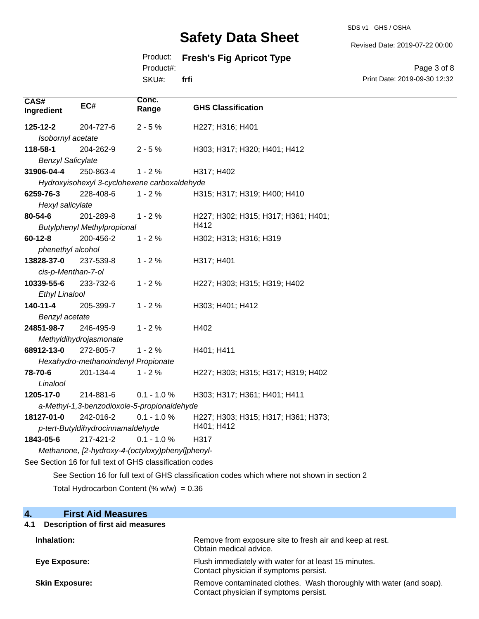SDS v1 GHS / OSHA

Revised Date: 2019-07-22 00:00

### Product: **Fresh's Fig Apricot Type**

Product#:

SKU#: **frfi**

Page 3 of 8 Print Date: 2019-09-30 12:32

| CAS#<br>Ingredient                                                                                                                           | EC#                                | Conc.<br>Range                               | <b>GHS Classification</b>           |
|----------------------------------------------------------------------------------------------------------------------------------------------|------------------------------------|----------------------------------------------|-------------------------------------|
| 125-12-2                                                                                                                                     | 204-727-6                          | $2 - 5%$                                     | H227; H316; H401                    |
| Isobornyl acetate                                                                                                                            |                                    |                                              |                                     |
| 118-58-1                                                                                                                                     | 204-262-9                          | $2 - 5%$                                     | H303; H317; H320; H401; H412        |
| <b>Benzyl Salicylate</b>                                                                                                                     |                                    |                                              |                                     |
| 31906-04-4                                                                                                                                   | 250-863-4                          | $1 - 2%$                                     | H317; H402                          |
|                                                                                                                                              |                                    | Hydroxyisohexyl 3-cyclohexene carboxaldehyde |                                     |
| 6259-76-3                                                                                                                                    | 228-408-6                          | $1 - 2%$                                     | H315; H317; H319; H400; H410        |
| Hexyl salicylate                                                                                                                             |                                    |                                              |                                     |
| 80-54-6                                                                                                                                      | 201-289-8                          | $1 - 2%$                                     | H227; H302; H315; H317; H361; H401; |
|                                                                                                                                              | <b>Butylphenyl Methylpropional</b> |                                              | H412                                |
| $60 - 12 - 8$                                                                                                                                | 200-456-2                          | $1 - 2%$                                     | H302; H313; H316; H319              |
| phenethyl alcohol                                                                                                                            |                                    |                                              |                                     |
| 13828-37-0                                                                                                                                   | 237-539-8                          | $1 - 2%$                                     | H317; H401                          |
| cis-p-Menthan-7-ol                                                                                                                           |                                    |                                              |                                     |
| 10339-55-6                                                                                                                                   | 233-732-6                          | $1 - 2%$                                     | H227; H303; H315; H319; H402        |
| <b>Ethyl Linalool</b>                                                                                                                        |                                    |                                              |                                     |
| 140-11-4                                                                                                                                     | 205-399-7                          | $1 - 2%$                                     | H303; H401; H412                    |
| Benzyl acetate                                                                                                                               |                                    |                                              |                                     |
| 24851-98-7                                                                                                                                   | 246-495-9                          | $1 - 2%$                                     | H402                                |
|                                                                                                                                              | Methyldihydrojasmonate             |                                              |                                     |
| 68912-13-0                                                                                                                                   | 272-805-7                          | $1 - 2%$                                     | H401; H411                          |
| Hexahydro-methanoindenyl Propionate                                                                                                          |                                    |                                              |                                     |
| 78-70-6                                                                                                                                      | 201-134-4                          | $1 - 2%$                                     | H227; H303; H315; H317; H319; H402  |
| Linalool                                                                                                                                     |                                    |                                              |                                     |
| 1205-17-0                                                                                                                                    | 214-881-6                          | $0.1 - 1.0 %$                                | H303; H317; H361; H401; H411        |
| a-Methyl-1,3-benzodioxole-5-propionaldehyde                                                                                                  |                                    |                                              |                                     |
| 18127-01-0                                                                                                                                   | 242-016-2                          | $0.1 - 1.0 %$                                | H227; H303; H315; H317; H361; H373; |
|                                                                                                                                              | p-tert-Butyldihydrocinnamaldehyde  |                                              | H401; H412                          |
| 1843-05-6                                                                                                                                    | 217-421-2                          | $0.1 - 1.0 %$                                | H317                                |
| Methanone, [2-hydroxy-4-(octyloxy)phenyl]phenyl-                                                                                             |                                    |                                              |                                     |
| See Section 16 for full text of GHS classification codes                                                                                     |                                    |                                              |                                     |
| $\mathcal{L}(\mathcal{L})$ . An $\mathcal{L}(\mathcal{L})$ is the set of $\mathcal{L}(\mathcal{L})$ is the set of $\mathcal{L}(\mathcal{L})$ |                                    |                                              |                                     |

See Section 16 for full text of GHS classification codes which where not shown in section 2

Total Hydrocarbon Content (%  $w/w$ ) = 0.36

| 4.<br><b>First Aid Measures</b>                 |                                                                                                               |
|-------------------------------------------------|---------------------------------------------------------------------------------------------------------------|
| <b>Description of first aid measures</b><br>4.1 |                                                                                                               |
| Inhalation:                                     | Remove from exposure site to fresh air and keep at rest.<br>Obtain medical advice.                            |
| <b>Eye Exposure:</b>                            | Flush immediately with water for at least 15 minutes.<br>Contact physician if symptoms persist.               |
| <b>Skin Exposure:</b>                           | Remove contaminated clothes. Wash thoroughly with water (and soap).<br>Contact physician if symptoms persist. |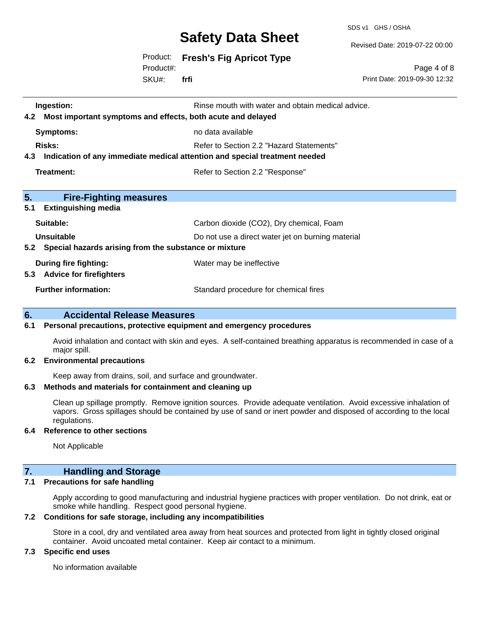SDS v1 GHS / OSHA

Revised Date: 2019-07-22 00:00

Product: **Fresh's Fig Apricot Type**

SKU#: Product#: **frfi**

Page 4 of 8 Print Date: 2019-09-30 12:32

| Ingestion:<br>Most important symptoms and effects, both acute and delayed<br>4.2  | Rinse mouth with water and obtain medical advice. |  |
|-----------------------------------------------------------------------------------|---------------------------------------------------|--|
| <b>Symptoms:</b>                                                                  | no data available                                 |  |
| Risks:                                                                            | Refer to Section 2.2 "Hazard Statements"          |  |
| Indication of any immediate medical attention and special treatment needed<br>4.3 |                                                   |  |
| Treatment:                                                                        | Refer to Section 2.2 "Response"                   |  |
|                                                                                   |                                                   |  |
| 5.<br><b>Fire-Fighting measures</b>                                               |                                                   |  |
| 5.1<br><b>Extinguishing media</b>                                                 |                                                   |  |
| Suitable:                                                                         | Carbon dioxide (CO2), Dry chemical, Foam          |  |
| Unsuitable                                                                        | Do not use a direct water jet on burning material |  |
| 5.2 Special hazards arising from the substance or mixture                         |                                                   |  |
| During fire fighting:                                                             | Water may be ineffective                          |  |
| 5.3 Advice for firefighters                                                       |                                                   |  |
| <b>Further information:</b>                                                       | Standard procedure for chemical fires             |  |

#### **6. Accidental Release Measures**

#### **6.1 Personal precautions, protective equipment and emergency procedures**

Avoid inhalation and contact with skin and eyes. A self-contained breathing apparatus is recommended in case of a major spill.

#### **6.2 Environmental precautions**

Keep away from drains, soil, and surface and groundwater.

#### **6.3 Methods and materials for containment and cleaning up**

Clean up spillage promptly. Remove ignition sources. Provide adequate ventilation. Avoid excessive inhalation of vapors. Gross spillages should be contained by use of sand or inert powder and disposed of according to the local regulations.

#### **6.4 Reference to other sections**

Not Applicable

#### **7. Handling and Storage**

#### **7.1 Precautions for safe handling**

Apply according to good manufacturing and industrial hygiene practices with proper ventilation. Do not drink, eat or smoke while handling. Respect good personal hygiene.

#### **7.2 Conditions for safe storage, including any incompatibilities**

Store in a cool, dry and ventilated area away from heat sources and protected from light in tightly closed original container. Avoid uncoated metal container. Keep air contact to a minimum.

#### **7.3 Specific end uses**

No information available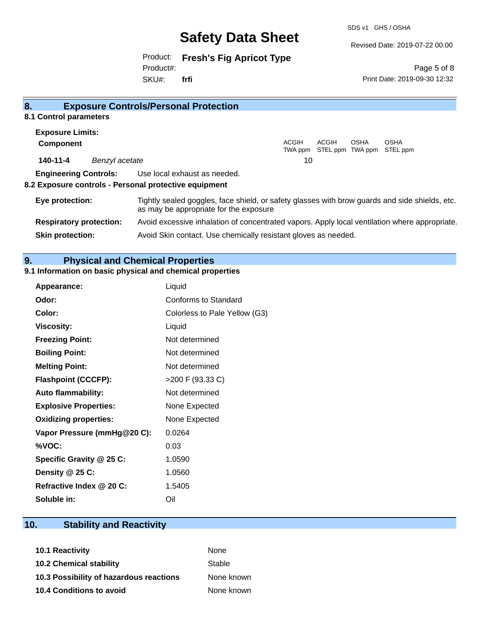SDS v1 GHS / OSHA

Revised Date: 2019-07-22 00:00

Product: **Fresh's Fig Apricot Type** Product#:

SKU#: **frfi**

Page 5 of 8 Print Date: 2019-09-30 12:32

| 8.                                                    |                | <b>Exposure Controls/Personal Protection</b>                                                                                             |  |  |
|-------------------------------------------------------|----------------|------------------------------------------------------------------------------------------------------------------------------------------|--|--|
| 8.1 Control parameters                                |                |                                                                                                                                          |  |  |
| <b>Exposure Limits:</b>                               |                |                                                                                                                                          |  |  |
| <b>Component</b>                                      |                | ACGIH<br>ACGIH<br><b>OSHA</b><br><b>OSHA</b>                                                                                             |  |  |
|                                                       |                | STEL ppm TWA ppm STEL ppm<br>TWA ppm                                                                                                     |  |  |
| 140-11-4                                              | Benzyl acetate | 10                                                                                                                                       |  |  |
|                                                       |                | <b>Engineering Controls:</b> Use local exhaust as needed.                                                                                |  |  |
| 8.2 Exposure controls - Personal protective equipment |                |                                                                                                                                          |  |  |
| Eye protection:                                       |                | Tightly sealed goggles, face shield, or safety glasses with brow guards and side shields, etc.<br>as may be appropriate for the exposure |  |  |
| <b>Respiratory protection:</b>                        |                | Avoid excessive inhalation of concentrated vapors. Apply local ventilation where appropriate.                                            |  |  |
| <b>Skin protection:</b>                               |                | Avoid Skin contact. Use chemically resistant gloves as needed.                                                                           |  |  |

### **9. Physical and Chemical Properties**

### **9.1 Information on basic physical and chemical properties**

| <b>Appearance:</b>           | Liquid                        |
|------------------------------|-------------------------------|
| Odor:                        | Conforms to Standard          |
| Color:                       | Colorless to Pale Yellow (G3) |
| <b>Viscosity:</b>            | Liquid                        |
| <b>Freezing Point:</b>       | Not determined                |
| <b>Boiling Point:</b>        | Not determined                |
| <b>Melting Point:</b>        | Not determined                |
| <b>Flashpoint (CCCFP):</b>   | >200 F (93.33 C)              |
| <b>Auto flammability:</b>    | Not determined                |
| <b>Explosive Properties:</b> | None Expected                 |
| <b>Oxidizing properties:</b> | None Expected                 |
| Vapor Pressure (mmHg@20 C):  | 0.0264                        |
| %VOC:                        | 0.03                          |
| Specific Gravity @ 25 C:     | 1.0590                        |
| Density @ 25 C:              | 1.0560                        |
| Refractive Index @ 20 C:     | 1.5405                        |
| Soluble in:                  | Oil                           |

### **10. Stability and Reactivity**

| None       |
|------------|
| Stable     |
| None known |
| None known |
|            |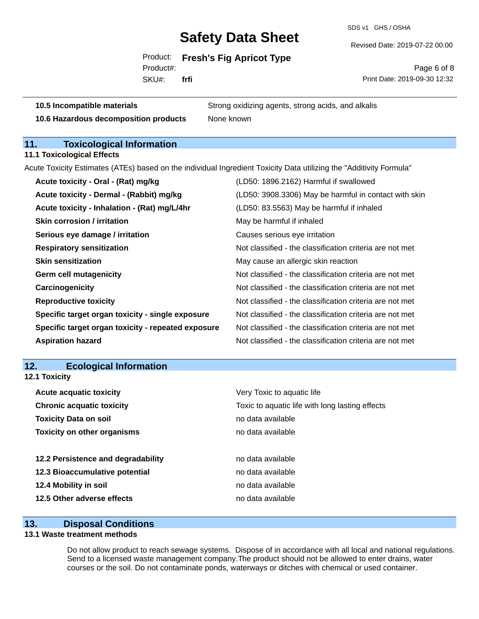SDS v1 GHS / OSHA

Revised Date: 2019-07-22 00:00

Product: **Fresh's Fig Apricot Type**

SKU#: Product#: **frfi**

Page 6 of 8 Print Date: 2019-09-30 12:32

**10.5 Incompatible materials** Strong oxidizing agents, strong acids, and alkalis

**10.6 Hazardous decomposition products** None known

### **11. Toxicological Information**

**11.1 Toxicological Effects**

Acute Toxicity Estimates (ATEs) based on the individual Ingredient Toxicity Data utilizing the "Additivity Formula"

| Acute toxicity - Oral - (Rat) mg/kg                | (LD50: 1896.2162) Harmful if swallowed                   |
|----------------------------------------------------|----------------------------------------------------------|
| Acute toxicity - Dermal - (Rabbit) mg/kg           | (LD50: 3908.3306) May be harmful in contact with skin    |
| Acute toxicity - Inhalation - (Rat) mg/L/4hr       | (LD50: 83.5563) May be harmful if inhaled                |
| <b>Skin corrosion / irritation</b>                 | May be harmful if inhaled                                |
| Serious eye damage / irritation                    | Causes serious eye irritation                            |
| <b>Respiratory sensitization</b>                   | Not classified - the classification criteria are not met |
| <b>Skin sensitization</b>                          | May cause an allergic skin reaction                      |
| <b>Germ cell mutagenicity</b>                      | Not classified - the classification criteria are not met |
| Carcinogenicity                                    | Not classified - the classification criteria are not met |
| <b>Reproductive toxicity</b>                       | Not classified - the classification criteria are not met |
| Specific target organ toxicity - single exposure   | Not classified - the classification criteria are not met |
| Specific target organ toxicity - repeated exposure | Not classified - the classification criteria are not met |
| <b>Aspiration hazard</b>                           | Not classified - the classification criteria are not met |

#### **12. Ecological Information 12.1 Toxicity**

| Very Toxic to aquatic life                      |
|-------------------------------------------------|
| Toxic to aquatic life with long lasting effects |
| no data available                               |
| no data available                               |
|                                                 |
| no data available                               |
| no data available                               |
| no data available                               |
| no data available                               |
|                                                 |

#### **13. Disposal Conditions**

#### **13.1 Waste treatment methods**

Do not allow product to reach sewage systems. Dispose of in accordance with all local and national regulations. Send to a licensed waste management company.The product should not be allowed to enter drains, water courses or the soil. Do not contaminate ponds, waterways or ditches with chemical or used container.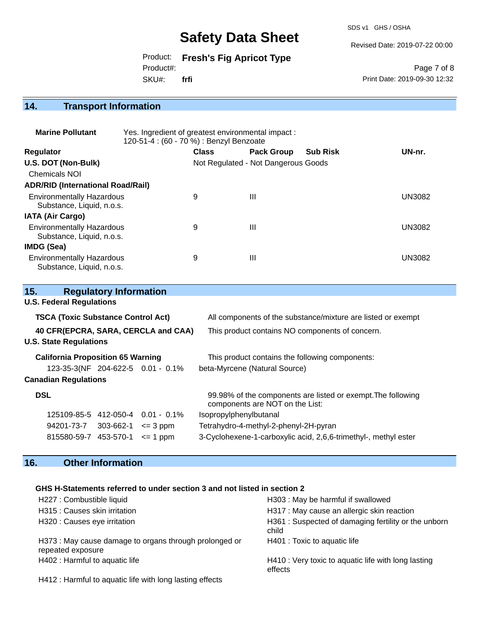SDS v1 GHS / OSHA

Revised Date: 2019-07-22 00:00

Product: **Fresh's Fig Apricot Type** Product#:

SKU#: **frfi**

Page 7 of 8 Print Date: 2019-09-30 12:32

### **14. Transport Information**

| <b>Marine Pollutant</b>                                       | Yes. Ingredient of greatest environmental impact:<br>120-51-4 : (60 - 70 %) : Benzyl Benzoate |              |                                     |                 |               |
|---------------------------------------------------------------|-----------------------------------------------------------------------------------------------|--------------|-------------------------------------|-----------------|---------------|
| Regulator                                                     |                                                                                               | <b>Class</b> | <b>Pack Group</b>                   | <b>Sub Risk</b> | UN-nr.        |
| U.S. DOT (Non-Bulk)                                           |                                                                                               |              | Not Regulated - Not Dangerous Goods |                 |               |
| Chemicals NOI                                                 |                                                                                               |              |                                     |                 |               |
| <b>ADR/RID (International Road/Rail)</b>                      |                                                                                               |              |                                     |                 |               |
| <b>Environmentally Hazardous</b><br>Substance, Liquid, n.o.s. |                                                                                               | 9            | Ш                                   |                 | <b>UN3082</b> |
| <b>IATA (Air Cargo)</b>                                       |                                                                                               |              |                                     |                 |               |
| <b>Environmentally Hazardous</b><br>Substance, Liquid, n.o.s. |                                                                                               | 9            | Ш                                   |                 | <b>UN3082</b> |
| <b>IMDG (Sea)</b>                                             |                                                                                               |              |                                     |                 |               |
| <b>Environmentally Hazardous</b><br>Substance, Liquid, n.o.s. |                                                                                               | 9            | Ш                                   |                 | UN3082        |

| <b>Regulatory Information</b><br>15.      |                                                                                                 |  |  |
|-------------------------------------------|-------------------------------------------------------------------------------------------------|--|--|
| <b>U.S. Federal Regulations</b>           |                                                                                                 |  |  |
| <b>TSCA (Toxic Substance Control Act)</b> | All components of the substance/mixture are listed or exempt                                    |  |  |
| 40 CFR(EPCRA, SARA, CERCLA and CAA)       | This product contains NO components of concern.                                                 |  |  |
| <b>U.S. State Regulations</b>             |                                                                                                 |  |  |
| <b>California Proposition 65 Warning</b>  | This product contains the following components:                                                 |  |  |
| 123-35-3(NF 204-622-5 0.01 - 0.1%         | beta-Myrcene (Natural Source)                                                                   |  |  |
| <b>Canadian Regulations</b>               |                                                                                                 |  |  |
| <b>DSL</b>                                | 99.98% of the components are listed or exempt. The following<br>components are NOT on the List: |  |  |
| 125109-85-5 412-050-4<br>$0.01 - 0.1\%$   | Isopropylphenylbutanal                                                                          |  |  |
| 94201-73-7 303-662-1<br>$\leq$ 3 ppm      | Tetrahydro-4-methyl-2-phenyl-2H-pyran                                                           |  |  |
| 815580-59-7 453-570-1<br>$\leq$ 1 ppm     | 3-Cyclohexene-1-carboxylic acid, 2,6,6-trimethyl-, methyl ester                                 |  |  |

### **16. Other Information**

#### **GHS H-Statements referred to under section 3 and not listed in section 2**

| H227 : Combustible liquid                                                   | H303: May be harmful if swallowed                              |
|-----------------------------------------------------------------------------|----------------------------------------------------------------|
| H315 : Causes skin irritation                                               | H317 : May cause an allergic skin reaction                     |
| H320 : Causes eye irritation                                                | H361: Suspected of damaging fertility or the unborn<br>child   |
| H373 : May cause damage to organs through prolonged or<br>repeated exposure | H401 : Toxic to aquatic life                                   |
| H402 : Harmful to aquatic life                                              | H410 : Very toxic to aquatic life with long lasting<br>effects |

H412 : Harmful to aquatic life with long lasting effects